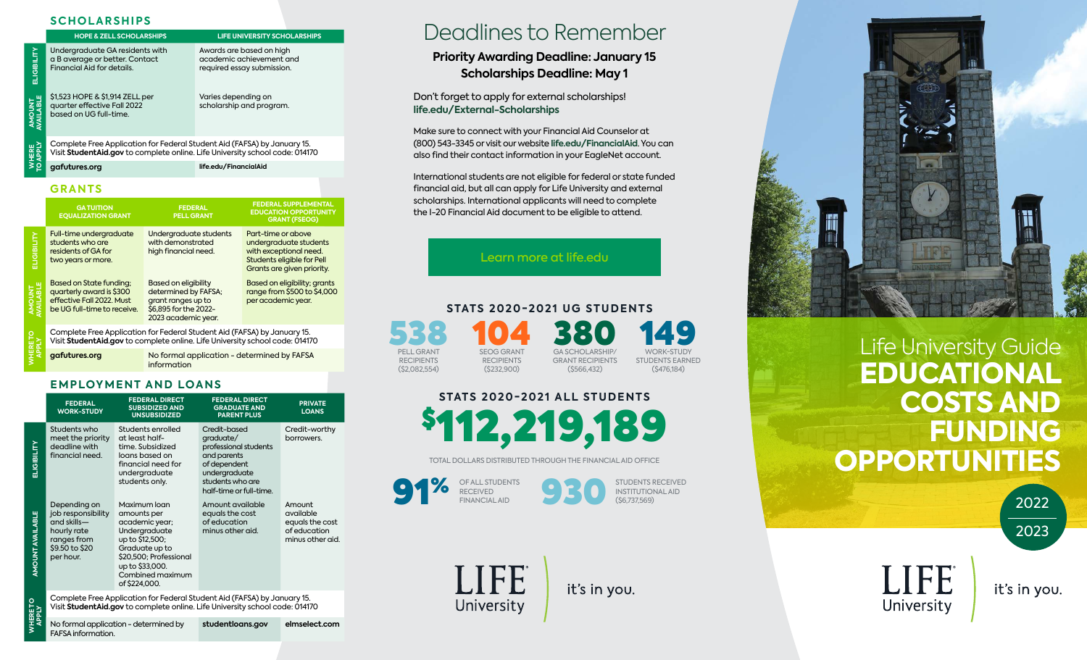#### **SCHOLARSHIPS**

|                         | <b>HOPE &amp; ZELL SCHOLARSHIPS</b>                                                                                                                      | <b>LIFE UNIVERSITY SCHOLARSHIPS</b>                                                |  |  |  |  |
|-------------------------|----------------------------------------------------------------------------------------------------------------------------------------------------------|------------------------------------------------------------------------------------|--|--|--|--|
| ELIGIBILITY             | Undergraduate GA residents with<br>a B average or better. Contact<br>Financial Aid for details.                                                          | Awards are based on high<br>academic achievement and<br>required essay submission. |  |  |  |  |
| AMOUNT<br>WAILABLE      | \$1,523 HOPE & \$1,914 ZELL per<br>quarter effective Fall 2022<br>based on UG full-time.                                                                 | Varies depending on<br>scholarship and program.                                    |  |  |  |  |
| <b>NHERE</b><br>O APPLY | Complete Free Application for Federal Student Aid (FAFSA) by January 15.<br>Visit StudentAid.gov to complete online. Life University school code: 014170 |                                                                                    |  |  |  |  |
|                         | life.edu/FinancialAid<br>gafutures.org                                                                                                                   |                                                                                    |  |  |  |  |

**[gafutures.org](http://gafutures.org) life.edu/FinancialAid**

#### **GRANTS**

|                   | <b>GATUITION</b><br><b>EQUALIZATION GRANT</b>                                                                                                            | <b>FEDERAL</b><br><b>PELL GRANT</b>                                                                                       | <b>FEDERAL SUPPLEMENTAL</b><br><b>EDUCATION OPPORTUNITY</b><br><b>GRANT (FSEOG)</b>                                                |  |  |
|-------------------|----------------------------------------------------------------------------------------------------------------------------------------------------------|---------------------------------------------------------------------------------------------------------------------------|------------------------------------------------------------------------------------------------------------------------------------|--|--|
| <b>ETIGIBILIL</b> | Full-time undergraduate<br>students who are<br>residents of GA for<br>two years or more.                                                                 | Undergraduate students<br>with demonstrated<br>high financial need.                                                       | Part-time or above<br>undergraduate students<br>with exceptional need.<br>Students eligible for Pell<br>Grants are given priority. |  |  |
|                   | <b>Based on State funding:</b><br>auarterly award is \$300<br>effective Fall 2022. Must<br>be UG full-time to receive.                                   | <b>Based on eligibility</b><br>determined by FAFSA;<br>grant ranges up to<br>\$6.895 for the 2022-<br>2023 academic year. | Based on eligibility; grants<br>range from \$500 to \$4,000<br>per academic year.                                                  |  |  |
|                   | Complete Free Application for Federal Student Aid (FAFSA) by January 15.<br>Visit StudentAid.gov to complete online. Life University school code: 014170 |                                                                                                                           |                                                                                                                                    |  |  |
|                   | gafutures.org                                                                                                                                            | No formal application - determined by FAFSA<br>information                                                                |                                                                                                                                    |  |  |

### **EMPLOYMENT AND LOANS**

|                         | <b>FEDERAL</b><br><b>WORK-STUDY</b>                                                                                                                      | <b>FEDERAL DIRECT</b><br><b>SUBSIDIZED AND</b><br><b>UNSUBSIDIZED</b>                                                                                                                 | <b>FEDERAL DIRECT</b><br><b>GRADUATE AND</b><br><b>PARENT PLUS</b>                                                                                | <b>PRIVATE</b><br><b>LOANS</b>                                             |  |  |
|-------------------------|----------------------------------------------------------------------------------------------------------------------------------------------------------|---------------------------------------------------------------------------------------------------------------------------------------------------------------------------------------|---------------------------------------------------------------------------------------------------------------------------------------------------|----------------------------------------------------------------------------|--|--|
| ELIGIBILITY             | Students who<br>meet the priority<br>deadline with<br>financial need.                                                                                    | Students enrolled<br>at least half-<br>time. Subsidized<br>loans based on<br>financial need for<br>undergraduate<br>students only.                                                    | Credit-based<br>graduate/<br>professional students<br>and parents<br>of dependent<br>undergraduate<br>students who are<br>half-time or full-time. | Credit-worthy<br>borrowers.                                                |  |  |
| <b>AMOUNT AVAILABLE</b> | Depending on<br>job responsibility<br>and skills-<br>hourly rate<br>ranges from<br>\$9.50 to \$20<br>per hour.                                           | Maximum loan<br>amounts per<br>academic year;<br>Undergraduate<br>up to \$12,500;<br>Graduate up to<br>\$20,500; Professional<br>up to \$33,000.<br>Combined maximum<br>of \$224,000. | Amount available<br>equals the cost<br>of education<br>minus other aid.                                                                           | Amount<br>available<br>equals the cost<br>of education<br>minus other aid. |  |  |
| WHERE TO<br>APPLY       | Complete Free Application for Federal Student Aid (FAFSA) by January 15.<br>Visit StudentAid.gov to complete online. Life University school code: 014170 |                                                                                                                                                                                       |                                                                                                                                                   |                                                                            |  |  |
|                         | $\Gamma$ A $\Gamma$ $\Gamma$ A $\Gamma$ $\sim$ $\Gamma$ $\sim$ $\sim$ $\sim$ $\sim$ $\sim$ $\sim$                                                        | No formal application - determined by                                                                                                                                                 | studentloans.gov                                                                                                                                  | elmselect.com                                                              |  |  |

```
No formal application - determined by 
FAFSA information.
                                      studentloans.gov elmselect.com
```
# Deadlines to Remember

## **Priority Awarding Deadline: January 15 Scholarships Deadline: May 1**

Don't forget to apply for external scholarships! **[life.edu/External-Scholarships](https://www.life.edu/admissions-pages/financial-aid/external-scholarships/)**

Make sure to connect with your Financial Aid Counselor at (800) 543-3345 or visit our website **[life.edu/FinancialAid](http://life.edu/FinancialAid)**. You can also find their contact information in your EagleNet account.

International students are not eligible for federal or state funded financial aid, but all can apply for Life University and external scholarships. International applicants will need to complete the I-20 Financial Aid document to be eligible to attend.

Learn more at [life.edu](http://life.edu)

#### **STATS 2 02 0 -2 02 1 U G ST U D E N TS**

**538** RECIPIENTS (\$2,082,554) 104 RECIPIENTS (\$232,900) **380** GRANT RECIPIENTS (\$566,432)

LIFE

University

WORK-STUDY STUDENTS EARNED (\$476,184) **149** 

# **STATS 2020-2021 ALL STUDENTS**



TOTAL DOLLARS DISTRIBUTED THROUGH THE FINANCIAL AID OFFICE

OF ALL STUDENTS **SPALL STUDEN RECEIVED** %





it's in you.



# Life University Guide **EDUCATIONAL COSTS AND FUNDING OPPORTUNITIES**

LIFE

University

2022 2023

it's in you.